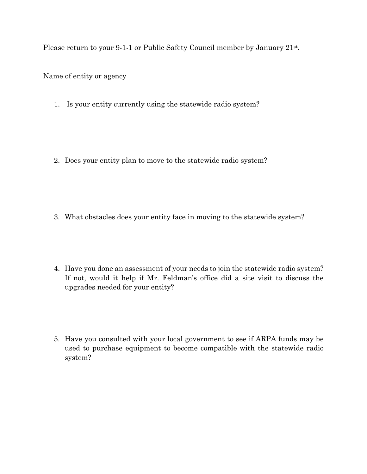Please return to your 9-1-1 or Public Safety Council member by January 21<sup>st</sup>.

Name of entity or agency\_\_\_\_\_\_\_\_\_\_\_\_\_\_\_\_\_\_\_\_\_\_\_\_\_

- 1. Is your entity currently using the statewide radio system?
- 2. Does your entity plan to move to the statewide radio system?

- 3. What obstacles does your entity face in moving to the statewide system?
- 4. Have you done an assessment of your needs to join the statewide radio system? If not, would it help if Mr. Feldman's office did a site visit to discuss the upgrades needed for your entity?
- 5. Have you consulted with your local government to see if ARPA funds may be used to purchase equipment to become compatible with the statewide radio system?